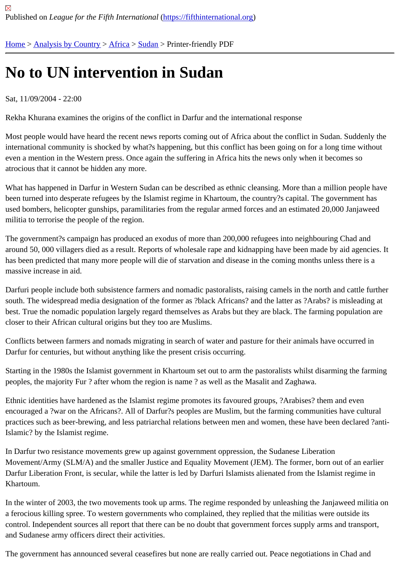## [No](https://fifthinternational.org/) [to UN inte](https://fifthinternational.org/category/1)r[ven](https://fifthinternational.org/category/1/1)t[ion](https://fifthinternational.org/category/1/1/48) in Sudan

## Sat, 11/09/2004 - 22:00

Rekha Khurana examines the origins of the conflict in Darfur and the international response

Most people would have heard the recent news reports coming out of Africa about the conflict in Sudan. Suddenly international community is shocked by what?s happening, but this conflict has been going on for a long time witho even a mention in the Western press. Once again the suffering in Africa hits the news only when it becomes so atrocious that it cannot be hidden any more.

What has happened in Darfur in Western Sudan can be described as ethnic cleansing. More than a million people been turned into desperate refugees by the Islamist regime in Khartoum, the country?s capital. The government ha used bombers, helicopter gunships, paramilitaries from the regular armed forces and an estimated 20,000 Janjawe militia to terrorise the people of the region.

The government?s campaign has produced an exodus of more than 200,000 refugees into neighbouring Chad and around 50, 000 villagers died as a result. Reports of wholesale rape and kidnapping have been made by aid agen has been predicted that many more people will die of starvation and disease in the coming months unless there is massive increase in aid.

Darfuri people include both subsistence farmers and nomadic pastoralists, raising camels in the north and cattle fu south. The widespread media designation of the former as ?black Africans? and the latter as ?Arabs? is misleadin best. True the nomadic population largely regard themselves as Arabs but they are black. The farming population closer to their African cultural origins but they too are Muslims.

Conflicts between farmers and nomads migrating in search of water and pasture for their animals have occurred in Darfur for centuries, but without anything like the present crisis occurring.

Starting in the 1980s the Islamist government in Khartoum set out to arm the pastoralists whilst disarming the farming peoples, the majority Fur ? after whom the region is name ? as well as the Masalit and Zaghawa.

Ethnic identities have hardened as the Islamist regime promotes its favoured groups, ?Arabises? them and even encouraged a ?war on the Africans?. All of Darfur?s peoples are Muslim, but the farming communities have cultura practices such as beer-brewing, and less patriarchal relations between men and women, these have been declare Islamic? by the Islamist regime.

In Darfur two resistance movements grew up against government oppression, the Sudanese Liberation Movement/Army (SLM/A) and the smaller Justice and Equality Movement (JEM). The former, born out of an earlie Darfur Liberation Front, is secular, while the latter is led by Darfuri Islamists alienated from the Islamist regime in Khartoum.

In the winter of 2003, the two movements took up arms. The regime responded by unleashing the Janjaweed militi a ferocious killing spree. To western governments who complained, they replied that the militias were outside its control. Independent sources all report that there can be no doubt that government forces supply arms and transpe and Sudanese army officers direct their activities.

The government has announced several ceasefires but none are really carried out. Peace negotiations in Chad an